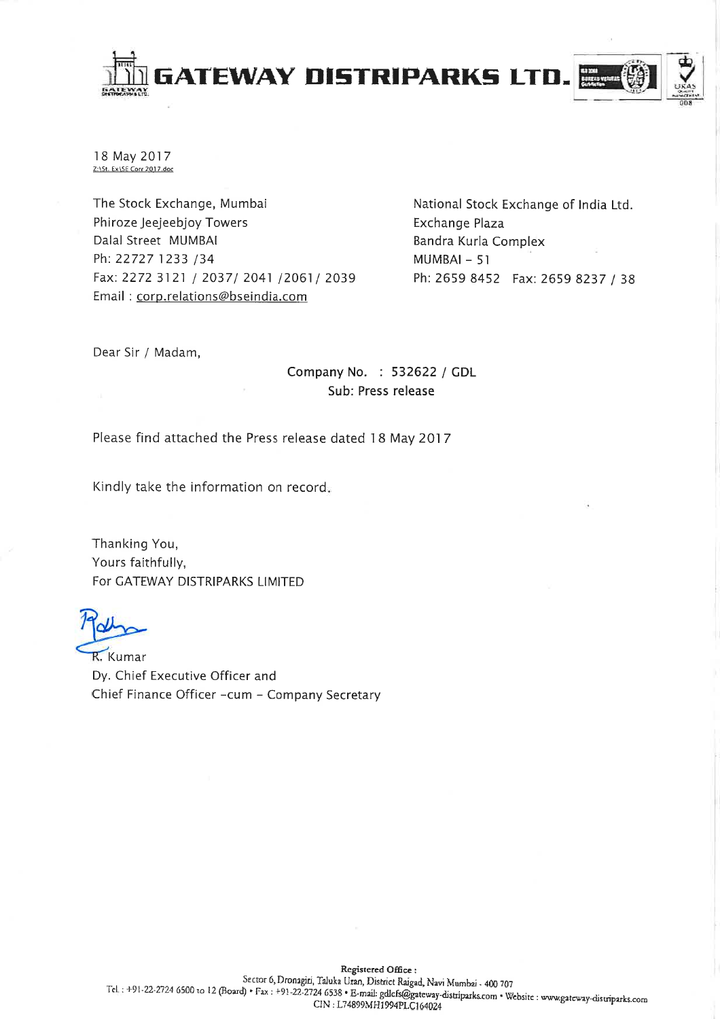

18 May 2017 Z:\St. Ex\SE Corr 2017.doc

The Stock Exchange, Mumbai Phiroze Jeejeebjoy Towers Dalal Street MUMBAI Ph: 22727 1233 /34 Fax: 2272 3121 / 2037/ 2041 /2061/ 2039 Email: corp.relations@bseindia.com

National Stock Exchange of India Ltd. Exchange Plaza Bandra Kurla Complex  $MUMBAI - 51$ Ph: 2659 8452 Fax: 2659 8237 / 38

Dear Sir / Madam,

Company No. : 532622 / GDL Sub: Press release

Please find attached the Press release dated 18 May 2017

Kindly take the information on record.

Thanking You, Yours faithfully, For GATEWAY DISTRIPARKS LIMITED

R. Kumar Dy. Chief Executive Officer and Chief Finance Officer -cum - Company Secretary